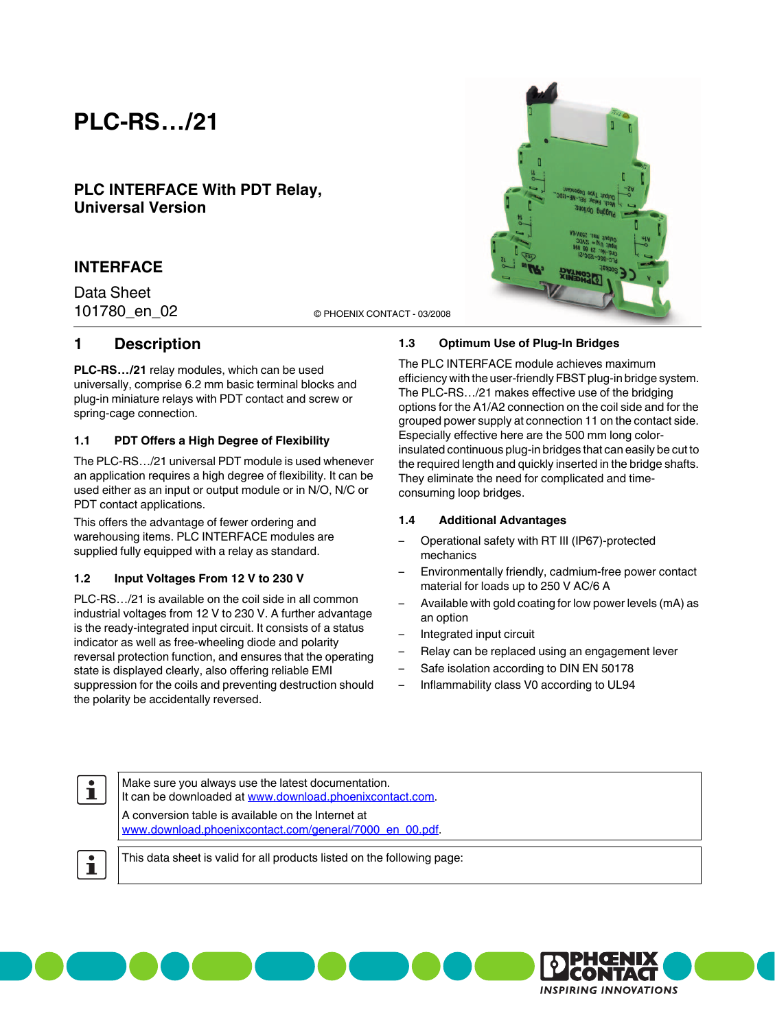# **PLC-RS…/21**

# **PLC INTERFACE With PDT Relay, Universal Version**

## **INTERFACE**

Data Sheet

101780\_en\_02 © PHOENIX CONTACT - 03/2008

### **1 Description**

**PLC-RS…/21** relay modules, which can be used universally, comprise 6.2 mm basic terminal blocks and plug-in miniature relays with PDT contact and screw or spring-cage connection.

#### **1.1 PDT Offers a High Degree of Flexibility**

The PLC-RS…/21 universal PDT module is used whenever an application requires a high degree of flexibility. It can be used either as an input or output module or in N/O, N/C or PDT contact applications.

This offers the advantage of fewer ordering and warehousing items. PLC INTERFACE modules are supplied fully equipped with a relay as standard.

#### **1.2 Input Voltages From 12 V to 230 V**

PLC-RS…/21 is available on the coil side in all common industrial voltages from 12 V to 230 V. A further advantage is the ready-integrated input circuit. It consists of a status indicator as well as free-wheeling diode and polarity reversal protection function, and ensures that the operating state is displayed clearly, also offering reliable EMI suppression for the coils and preventing destruction should the polarity be accidentally reversed.

#### **1.3 Optimum Use of Plug-In Bridges**

The PLC INTERFACE module achieves maximum efficiency with the user-friendly FBST plug-in bridge system. The PLC-RS…/21 makes effective use of the bridging options for the A1/A2 connection on the coil side and for the grouped power supply at connection 11 on the contact side. Especially effective here are the 500 mm long colorinsulated continuous plug-in bridges that can easily be cut to the required length and quickly inserted in the bridge shafts. They eliminate the need for complicated and timeconsuming loop bridges.

#### **1.4 Additional Advantages**

- Operational safety with RT III (IP67)-protected mechanics
- Environmentally friendly, cadmium-free power contact material for loads up to 250 V AC/6 A
- Available with gold coating for low power levels (mA) as an option
- Integrated input circuit
- Relay can be replaced using an engagement lever
- Safe isolation according to DIN EN 50178
- Inflammability class V0 according to UL94

 $\mathbf i$ 

Make sure you always use the latest documentation. It can be downloaded at [www.download.phoenixcontact.com.](http://www.download.phoenixcontact.com) A conversion table is available on the Internet at [www.download.phoenixcontact.com/general/7000\\_en\\_00.pdf.](http://www.download.phoenixcontact.com/general/7000_en_00.pdf)

 $\mathbf i$ 

This data sheet is valid for all products listed on the following page:



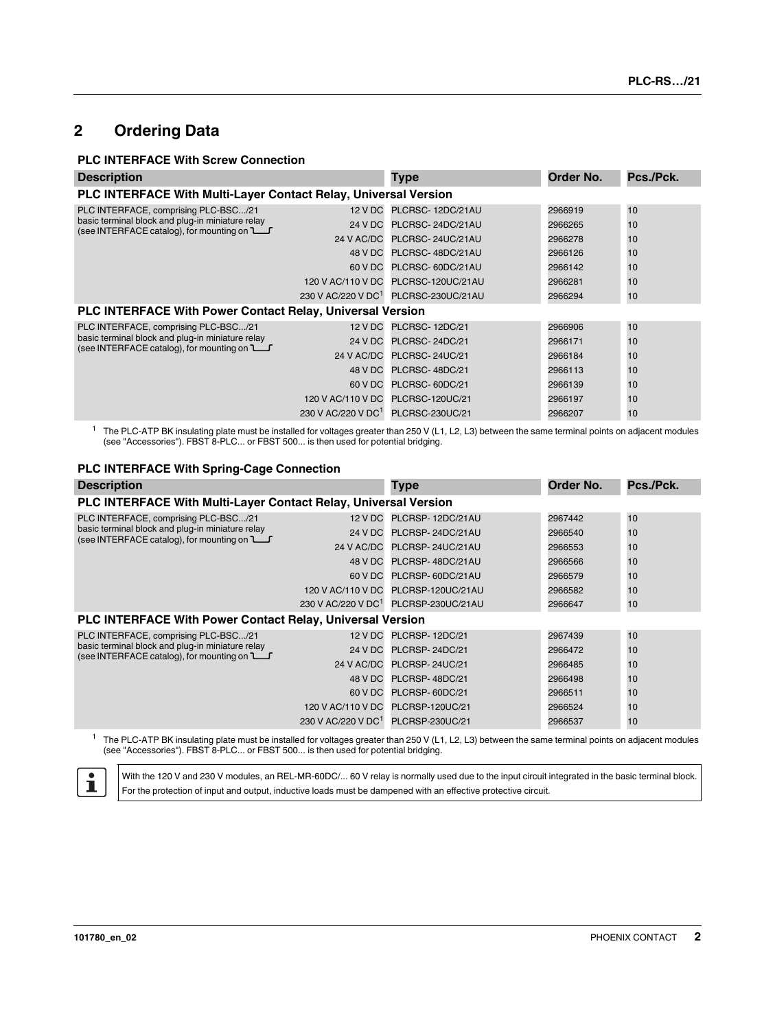# **2 Ordering Data**

#### **PLC INTERFACE With Screw Connection**

| <b>Description</b>                                                                                                                                                    |                                | <b>Type</b>                                      | Order No. | Pcs./Pck. |
|-----------------------------------------------------------------------------------------------------------------------------------------------------------------------|--------------------------------|--------------------------------------------------|-----------|-----------|
| PLC INTERFACE With Multi-Layer Contact Relay, Universal Version                                                                                                       |                                |                                                  |           |           |
| PLC INTERFACE, comprising PLC-BSC/21<br>basic terminal block and plug-in miniature relay<br>(see INTERFACE catalog), for mounting on $\Box$                           |                                | 12 V DC PLCRSC-12DC/21AU                         | 2966919   | 10        |
|                                                                                                                                                                       | 24 V DC                        | PLCRSC-24DC/21AU                                 | 2966265   | 10        |
|                                                                                                                                                                       | 24 V AC/DC                     | PLCRSC-24UC/21AU                                 | 2966278   | 10        |
|                                                                                                                                                                       |                                | 48 V DC PLCRSC-48DC/21AU                         | 2966126   | 10        |
|                                                                                                                                                                       | 60 V DC                        | PLCRSC-60DC/21AU                                 | 2966142   | 10        |
|                                                                                                                                                                       |                                | 120 V AC/110 V DC PLCRSC-120UC/21AU              | 2966281   | 10        |
|                                                                                                                                                                       |                                | 230 V AC/220 V DC <sup>1</sup> PLCRSC-230UC/21AU | 2966294   | 10        |
| <b>PLC INTERFACE With Power Contact Relay, Universal Version</b>                                                                                                      |                                |                                                  |           |           |
| PLC INTERFACE, comprising PLC-BSC/21<br>basic terminal block and plug-in miniature relay<br>(see INTERFACE catalog), for mounting on <b>L__</b><br>48 V DC<br>60 V DC |                                | 12 V DC PLCRSC-12DC/21                           | 2966906   | 10        |
|                                                                                                                                                                       |                                | 24 V DC PLCRSC-24DC/21                           | 2966171   | 10        |
|                                                                                                                                                                       |                                | 24 V AC/DC PLCRSC-24UC/21                        | 2966184   | 10        |
|                                                                                                                                                                       |                                | PLCRSC-48DC/21                                   | 2966113   | 10        |
|                                                                                                                                                                       | PLCRSC-60DC/21                 | 2966139                                          | 10        |           |
| 120 V AC/110 V DC                                                                                                                                                     |                                | <b>PLCRSC-120UC/21</b>                           | 2966197   | 10        |
|                                                                                                                                                                       | 230 V AC/220 V DC <sup>1</sup> | PLCRSC-230UC/21                                  | 2966207   | 10        |

<sup>1</sup> The PLC-ATP BK insulating plate must be installed for voltages greater than 250 V (L1, L2, L3) between the same terminal points on adjacent modules (see ["Accessories"](#page-2-0)). FBST 8-PLC... or FBST 500... is then used for potential bridging.

#### **PLC INTERFACE With Spring-Cage Connection**

| <b>Description</b>                                                                                                                                |                                   | <b>Type</b>                                      | Order No. | Pcs./Pck. |
|---------------------------------------------------------------------------------------------------------------------------------------------------|-----------------------------------|--------------------------------------------------|-----------|-----------|
| PLC INTERFACE With Multi-Layer Contact Relay, Universal Version                                                                                   |                                   |                                                  |           |           |
| PLC INTERFACE, comprising PLC-BSC/21<br>basic terminal block and plug-in miniature relay<br>(see INTERFACE catalog), for mounting on $\mathbb{L}$ |                                   | 12 V DC PLCRSP-12DC/21AU                         | 2967442   | 10        |
|                                                                                                                                                   | 24 V DC                           | PLCRSP-24DC/21AU                                 | 2966540   | 10        |
|                                                                                                                                                   | 24 V AC/DC                        | PLCRSP-24UC/21AU                                 | 2966553   | 10        |
|                                                                                                                                                   |                                   | 48 V DC PLCRSP-48DC/21AU                         | 2966566   | 10        |
|                                                                                                                                                   |                                   | 60 V DC PLCRSP-60DC/21AU                         | 2966579   | 10        |
|                                                                                                                                                   |                                   | 120 V AC/110 V DC PLCRSP-120UC/21AU              | 2966582   | 10        |
|                                                                                                                                                   |                                   | 230 V AC/220 V DC <sup>1</sup> PLCRSP-230UC/21AU | 2966647   | 10        |
| <b>PLC INTERFACE With Power Contact Relay, Universal Version</b>                                                                                  |                                   |                                                  |           |           |
| PLC INTERFACE, comprising PLC-BSC/21<br>basic terminal block and plug-in miniature relay<br>(see INTERFACE catalog), for mounting on $L$          | 12 V DC                           | PLCRSP-12DC/21                                   | 2967439   | 10        |
|                                                                                                                                                   | 24 V DC                           | PLCRSP-24DC/21                                   | 2966472   | 10        |
|                                                                                                                                                   |                                   | 24 V AC/DC PLCRSP-24UC/21                        | 2966485   | 10        |
|                                                                                                                                                   |                                   | 48 V DC PLCRSP-48DC/21                           | 2966498   | 10        |
|                                                                                                                                                   | 60 V DC                           | PLCRSP-60DC/21                                   | 2966511   | 10        |
|                                                                                                                                                   | 120 V AC/110 V DC PLCRSP-120UC/21 |                                                  | 2966524   | 10        |
|                                                                                                                                                   | 230 V AC/220 V DC <sup>1</sup>    | PLCRSP-230UC/21                                  | 2966537   | 10        |

<sup>1</sup> The PLC-ATP BK insulating plate must be installed for voltages greater than 250 V (L1, L2, L3) between the same terminal points on adjacent modules (see ["Accessories"](#page-2-0)). FBST 8-PLC... or FBST 500... is then used for potential bridging.

 $\mathbf i$ With the 120 V and 230 V modules, an REL-MR-60DC/... 60 V relay is normally used due to the input circuit integrated in the basic terminal block. For the protection of input and output, inductive loads must be dampened with an effective protective circuit.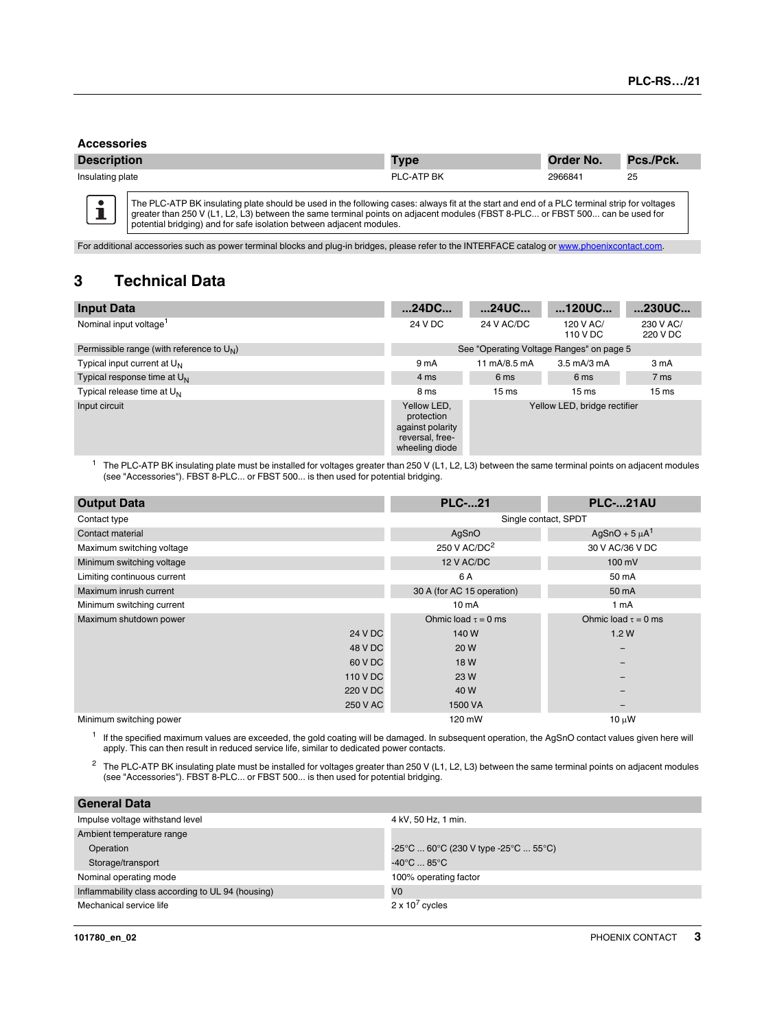#### <span id="page-2-0"></span>**Accessories**

 $\bullet$ í

| <b>Description</b> | <b>Type</b>       | Order No. | Pcs./Pck. |
|--------------------|-------------------|-----------|-----------|
| Insulating plate   | <b>PLC-ATP BK</b> | 2966841   | 25        |

The PLC-ATP BK insulating plate should be used in the following cases: always fit at the start and end of a PLC terminal strip for voltages greater than 250 V (L1, L2, L3) between the same terminal points on adjacent modules (FBST 8-PLC… or FBST 500… can be used for<br>potential bridging) and for safe isolation between adjacent modules.

For additional accessories such as power terminal blocks and plug-in bridges, please refer to the INTERFACE catalog or [www.phoenixcontact.com.](http://www.phoenixcontact.com)

# **3 Technical Data**

| <b>Input Data</b>                            | 24DC                                                                               | 24UC                                     | 120UC                             | 230UC                 |
|----------------------------------------------|------------------------------------------------------------------------------------|------------------------------------------|-----------------------------------|-----------------------|
| Nominal input voltage <sup>1</sup>           | 24 V DC                                                                            | 24 V AC/DC                               | 120 V AC/<br>110 V DC             | 230 V AC/<br>220 V DC |
| Permissible range (with reference to $U_N$ ) |                                                                                    | See "Operating Voltage Ranges" on page 5 |                                   |                       |
| Typical input current at U <sub>N</sub>      | 9 mA                                                                               | 11 mA/8.5 mA                             | $3.5 \text{ mA}$ / $3 \text{ mA}$ | 3 mA                  |
| Typical response time at $U_N$               | 4 ms                                                                               | 6 ms                                     | 6 ms                              | 7 ms                  |
| Typical release time at U <sub>N</sub>       | 8 ms                                                                               | 15 <sub>ms</sub>                         | 15 <sub>ms</sub>                  | 15 <sub>ms</sub>      |
| Input circuit                                | Yellow LED,<br>protection<br>against polarity<br>reversal, free-<br>wheeling diode |                                          | Yellow LED, bridge rectifier      |                       |

<sup>1</sup> The PLC-ATP BK insulating plate must be installed for voltages greater than 250 V (L1, L2, L3) between the same terminal points on adjacent modules (see ["Accessories"](#page-2-0)). FBST 8-PLC... or FBST 500... is then used for potential bridging.

| <b>Output Data</b>          | <b>PLC-21</b>              | <b>PLC-21AU</b>          |  |
|-----------------------------|----------------------------|--------------------------|--|
| Contact type                | Single contact, SPDT       |                          |  |
| Contact material            | AgSnO                      | AgSnO + $5 \mu A^1$      |  |
| Maximum switching voltage   | 250 V AC/DC <sup>2</sup>   | 30 V AC/36 V DC          |  |
| Minimum switching voltage   | 12 V AC/DC                 | 100 mV                   |  |
| Limiting continuous current | 6 A                        | 50 mA                    |  |
| Maximum inrush current      | 30 A (for AC 15 operation) | 50 mA                    |  |
| Minimum switching current   | 10 <sub>m</sub> A          | 1 mA                     |  |
| Maximum shutdown power      | Ohmic load $\tau = 0$ ms   | Ohmic load $\tau = 0$ ms |  |
| 24 V DC                     | 140 W                      | 1.2W                     |  |
| 48 V DC                     | 20 W                       | -                        |  |
| 60 V DC                     | 18 W                       | -                        |  |
| 110 V DC                    | 23 W                       | -                        |  |
| 220 V DC                    | 40 W                       | -                        |  |
| 250 V AC                    | 1500 VA                    | -                        |  |
| Minimum switching power     | 120 mW                     | 10 µW                    |  |

<sup>1</sup> If the specified maximum values are exceeded, the gold coating will be damaged. In subsequent operation, the AgSnO contact values given here will apply. This can then result in reduced service life, similar to dedicated power contacts.

<sup>2</sup> The PLC-ATP BK insulating plate must be installed for voltages greater than 250 V (L1, L2, L3) between the same terminal points on adjacent modules (see ["Accessories"](#page-2-0)). FBST 8-PLC... or FBST 500... is then used for po

| <b>General Data</b>                               |                                                                                 |
|---------------------------------------------------|---------------------------------------------------------------------------------|
| Impulse voltage withstand level                   | 4 kV, 50 Hz, 1 min.                                                             |
| Ambient temperature range                         |                                                                                 |
| Operation                                         | $-25^{\circ}$ C  60 $^{\circ}$ C (230 V type -25 $^{\circ}$ C  55 $^{\circ}$ C) |
| Storage/transport                                 | $-40^{\circ}$ C  85 $^{\circ}$ C                                                |
| Nominal operating mode                            | 100% operating factor                                                           |
| Inflammability class according to UL 94 (housing) | V <sub>0</sub>                                                                  |
| Mechanical service life                           | $2 \times 10^7$ cycles                                                          |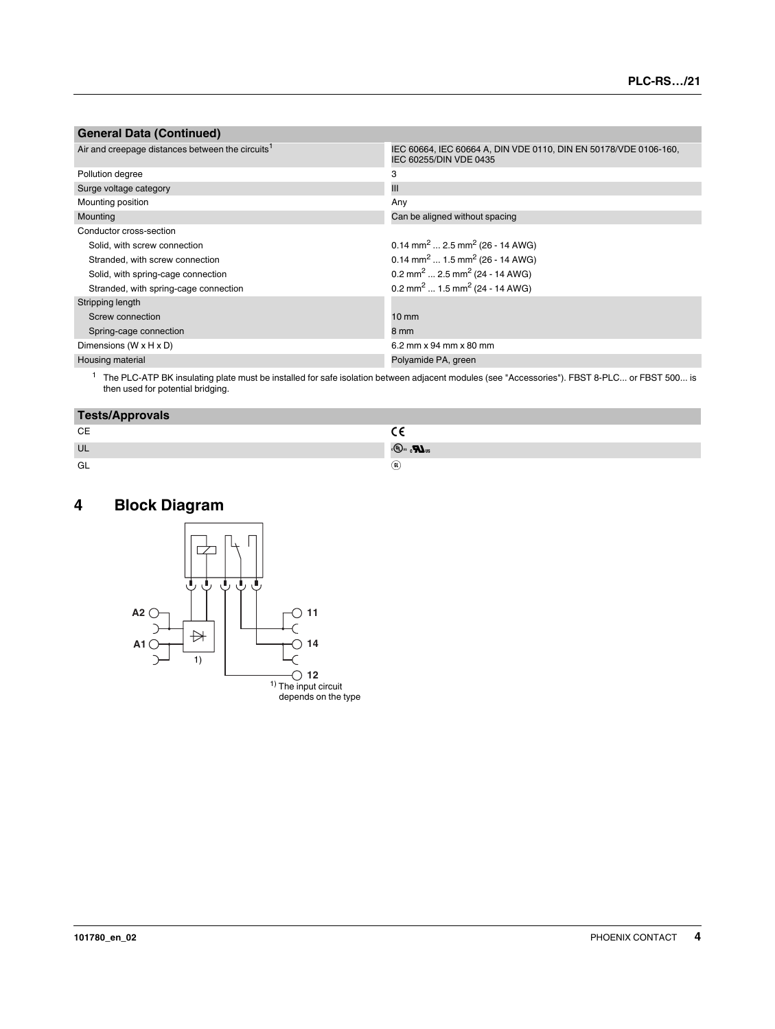#### **General Data (Continued)**

| Air and creepage distances between the circuits <sup>1</sup> | IEC 60664, IEC 60664 A, DIN VDE 0110, DIN EN 50178/VDE 0106-160,<br>IEC 60255/DIN VDE 0435 |
|--------------------------------------------------------------|--------------------------------------------------------------------------------------------|
| Pollution degree                                             | 3                                                                                          |
| Surge voltage category                                       | Ш                                                                                          |
| Mounting position                                            | Any                                                                                        |
| Mounting                                                     | Can be aligned without spacing                                                             |
| Conductor cross-section                                      |                                                                                            |
| Solid, with screw connection                                 | $0.14$ mm <sup>2</sup> 2.5 mm <sup>2</sup> (26 - 14 AWG)                                   |
| Stranded, with screw connection                              | $0.14$ mm <sup>2</sup> 1.5 mm <sup>2</sup> (26 - 14 AWG)                                   |
| Solid, with spring-cage connection                           | 0.2 mm <sup>2</sup> 2.5 mm <sup>2</sup> (24 - 14 AWG)                                      |
| Stranded, with spring-cage connection                        | 0.2 mm <sup>2</sup> 1.5 mm <sup>2</sup> (24 - 14 AWG)                                      |
| Stripping length                                             |                                                                                            |
| Screw connection                                             | $10 \text{ mm}$                                                                            |
| Spring-cage connection                                       | 8 mm                                                                                       |
| Dimensions (W x H x D)                                       | 6.2 mm x 94 mm x 80 mm                                                                     |
| Housing material                                             | Polyamide PA, green                                                                        |

<sup>1</sup> The PLC-ATP BK insulating plate must be installed for safe isolation between adjacent modules (see ["Accessories"\)](#page-2-0). FBST 8-PLC... or FBST 500... is<br>then used for potential bridging.

| <b>Tests/Approvals</b> |             |
|------------------------|-------------|
| СE                     |             |
| UL                     | 。(4).  (4). |
| GL                     | (GL)        |

# **4 Block Diagram**